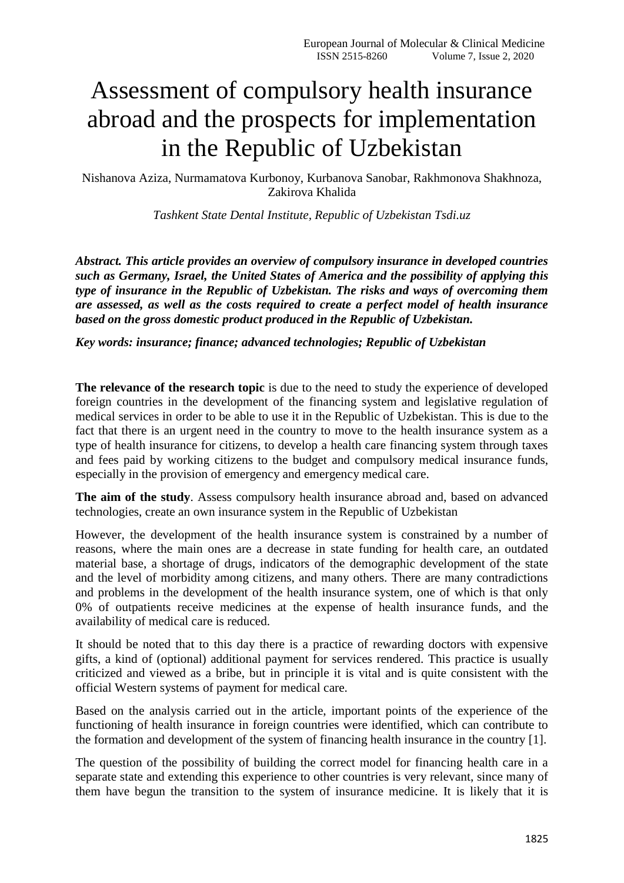## Assessment of compulsory health insurance abroad and the prospects for implementation in the Republic of Uzbekistan

Nishanova Aziza, Nurmamatova Kurbonoy, Kurbanova Sanobar, Rakhmonova Shakhnoza, Zakirova Khalida

*Tashkent State Dental Institute, Republic of Uzbekistan Tsdi.uz*

*Abstract. This article provides an overview of compulsory insurance in developed countries such as Germany, Israel, the United States of America and the possibility of applying this type of insurance in the Republic of Uzbekistan. The risks and ways of overcoming them are assessed, as well as the costs required to create a perfect model of health insurance based on the gross domestic product produced in the Republic of Uzbekistan.*

## *Key words: insurance; finance; advanced technologies; Republic of Uzbekistan*

**The relevance of the research topic** is due to the need to study the experience of developed foreign countries in the development of the financing system and legislative regulation of medical services in order to be able to use it in the Republic of Uzbekistan. This is due to the fact that there is an urgent need in the country to move to the health insurance system as a type of health insurance for citizens, to develop a health care financing system through taxes and fees paid by working citizens to the budget and compulsory medical insurance funds, especially in the provision of emergency and emergency medical care.

**The aim of the study**. Assess compulsory health insurance abroad and, based on advanced technologies, create an own insurance system in the Republic of Uzbekistan

However, the development of the health insurance system is constrained by a number of reasons, where the main ones are a decrease in state funding for health care, an outdated material base, a shortage of drugs, indicators of the demographic development of the state and the level of morbidity among citizens, and many others. There are many contradictions and problems in the development of the health insurance system, one of which is that only 0% of outpatients receive medicines at the expense of health insurance funds, and the availability of medical care is reduced.

It should be noted that to this day there is a practice of rewarding doctors with expensive gifts, a kind of (optional) additional payment for services rendered. This practice is usually criticized and viewed as a bribe, but in principle it is vital and is quite consistent with the official Western systems of payment for medical care.

Based on the analysis carried out in the article, important points of the experience of the functioning of health insurance in foreign countries were identified, which can contribute to the formation and development of the system of financing health insurance in the country [1].

The question of the possibility of building the correct model for financing health care in a separate state and extending this experience to other countries is very relevant, since many of them have begun the transition to the system of insurance medicine. It is likely that it is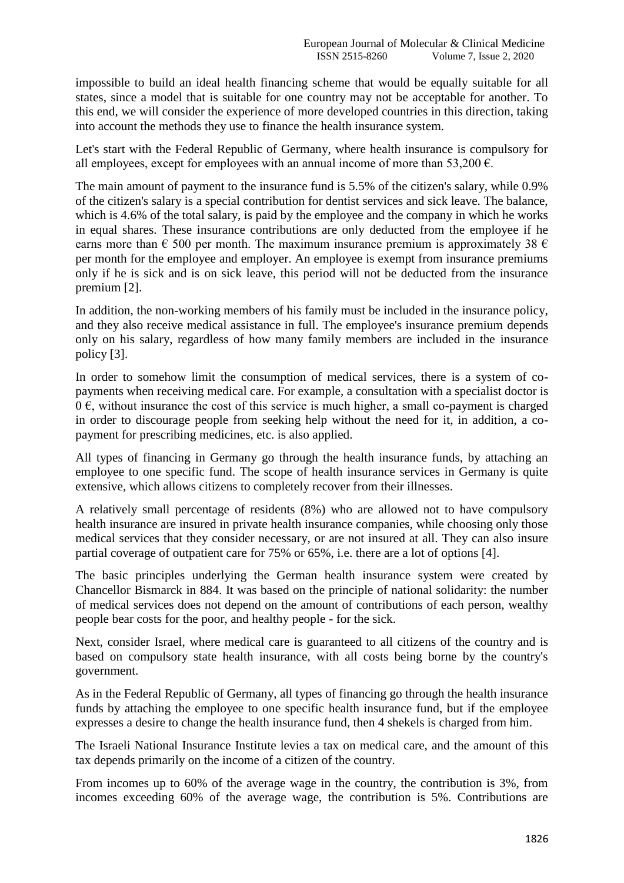impossible to build an ideal health financing scheme that would be equally suitable for all states, since a model that is suitable for one country may not be acceptable for another. To this end, we will consider the experience of more developed countries in this direction, taking into account the methods they use to finance the health insurance system.

Let's start with the Federal Republic of Germany, where health insurance is compulsory for all employees, except for employees with an annual income of more than 53,200  $\epsilon$ .

The main amount of payment to the insurance fund is 5.5% of the citizen's salary, while 0.9% of the citizen's salary is a special contribution for dentist services and sick leave. The balance, which is 4.6% of the total salary, is paid by the employee and the company in which he works in equal shares. These insurance contributions are only deducted from the employee if he earns more than  $\epsilon$  500 per month. The maximum insurance premium is approximately 38  $\epsilon$ per month for the employee and employer. An employee is exempt from insurance premiums only if he is sick and is on sick leave, this period will not be deducted from the insurance premium [2].

In addition, the non-working members of his family must be included in the insurance policy, and they also receive medical assistance in full. The employee's insurance premium depends only on his salary, regardless of how many family members are included in the insurance policy [3].

In order to somehow limit the consumption of medical services, there is a system of copayments when receiving medical care. For example, a consultation with a specialist doctor is  $0 \in$ , without insurance the cost of this service is much higher, a small co-payment is charged in order to discourage people from seeking help without the need for it, in addition, a copayment for prescribing medicines, etc. is also applied.

All types of financing in Germany go through the health insurance funds, by attaching an employee to one specific fund. The scope of health insurance services in Germany is quite extensive, which allows citizens to completely recover from their illnesses.

A relatively small percentage of residents (8%) who are allowed not to have compulsory health insurance are insured in private health insurance companies, while choosing only those medical services that they consider necessary, or are not insured at all. They can also insure partial coverage of outpatient care for 75% or 65%, i.e. there are a lot of options [4].

The basic principles underlying the German health insurance system were created by Chancellor Bismarck in 884. It was based on the principle of national solidarity: the number of medical services does not depend on the amount of contributions of each person, wealthy people bear costs for the poor, and healthy people - for the sick.

Next, consider Israel, where medical care is guaranteed to all citizens of the country and is based on compulsory state health insurance, with all costs being borne by the country's government.

As in the Federal Republic of Germany, all types of financing go through the health insurance funds by attaching the employee to one specific health insurance fund, but if the employee expresses a desire to change the health insurance fund, then 4 shekels is charged from him.

The Israeli National Insurance Institute levies a tax on medical care, and the amount of this tax depends primarily on the income of a citizen of the country.

From incomes up to 60% of the average wage in the country, the contribution is 3%, from incomes exceeding 60% of the average wage, the contribution is 5%. Contributions are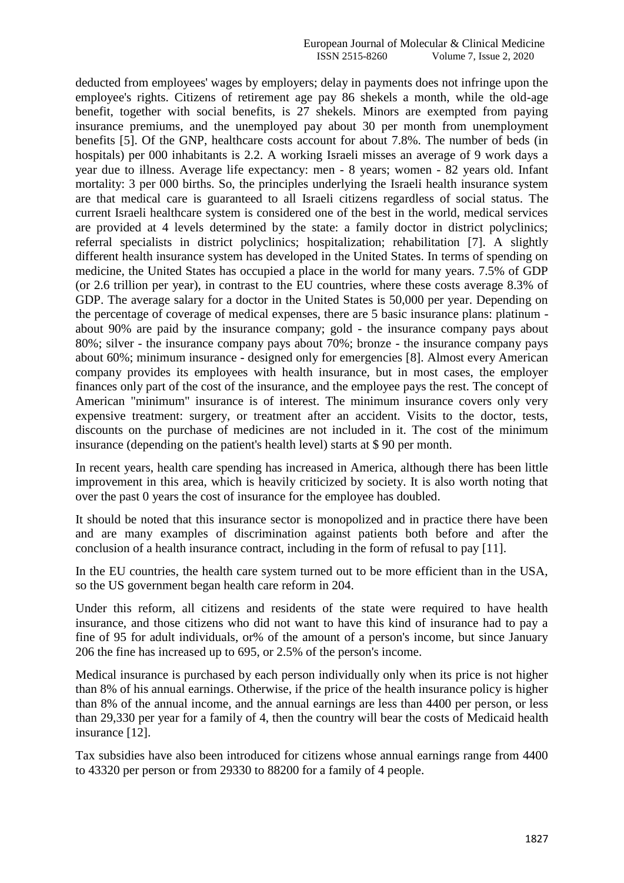deducted from employees' wages by employers; delay in payments does not infringe upon the employee's rights. Citizens of retirement age pay 86 shekels a month, while the old-age benefit, together with social benefits, is 27 shekels. Minors are exempted from paying insurance premiums, and the unemployed pay about 30 per month from unemployment benefits [5]. Of the GNP, healthcare costs account for about 7.8%. The number of beds (in hospitals) per 000 inhabitants is 2.2. A working Israeli misses an average of 9 work days a year due to illness. Average life expectancy: men - 8 years; women - 82 years old. Infant mortality: 3 per 000 births. So, the principles underlying the Israeli health insurance system are that medical care is guaranteed to all Israeli citizens regardless of social status. The current Israeli healthcare system is considered one of the best in the world, medical services are provided at 4 levels determined by the state: a family doctor in district polyclinics; referral specialists in district polyclinics; hospitalization; rehabilitation [7]. A slightly different health insurance system has developed in the United States. In terms of spending on medicine, the United States has occupied a place in the world for many years. 7.5% of GDP (or 2.6 trillion per year), in contrast to the EU countries, where these costs average 8.3% of GDP. The average salary for a doctor in the United States is 50,000 per year. Depending on the percentage of coverage of medical expenses, there are 5 basic insurance plans: platinum about 90% are paid by the insurance company; gold - the insurance company pays about 80%; silver - the insurance company pays about 70%; bronze - the insurance company pays about 60%; minimum insurance - designed only for emergencies [8]. Almost every American company provides its employees with health insurance, but in most cases, the employer finances only part of the cost of the insurance, and the employee pays the rest. The concept of American "minimum" insurance is of interest. The minimum insurance covers only very expensive treatment: surgery, or treatment after an accident. Visits to the doctor, tests, discounts on the purchase of medicines are not included in it. The cost of the minimum insurance (depending on the patient's health level) starts at \$ 90 per month.

In recent years, health care spending has increased in America, although there has been little improvement in this area, which is heavily criticized by society. It is also worth noting that over the past 0 years the cost of insurance for the employee has doubled.

It should be noted that this insurance sector is monopolized and in practice there have been and are many examples of discrimination against patients both before and after the conclusion of a health insurance contract, including in the form of refusal to pay [11].

In the EU countries, the health care system turned out to be more efficient than in the USA, so the US government began health care reform in 204.

Under this reform, all citizens and residents of the state were required to have health insurance, and those citizens who did not want to have this kind of insurance had to pay a fine of 95 for adult individuals, or% of the amount of a person's income, but since January 206 the fine has increased up to 695, or 2.5% of the person's income.

Medical insurance is purchased by each person individually only when its price is not higher than 8% of his annual earnings. Otherwise, if the price of the health insurance policy is higher than 8% of the annual income, and the annual earnings are less than 4400 per person, or less than 29,330 per year for a family of 4, then the country will bear the costs of Medicaid health insurance [12].

Tax subsidies have also been introduced for citizens whose annual earnings range from 4400 to 43320 per person or from 29330 to 88200 for a family of 4 people.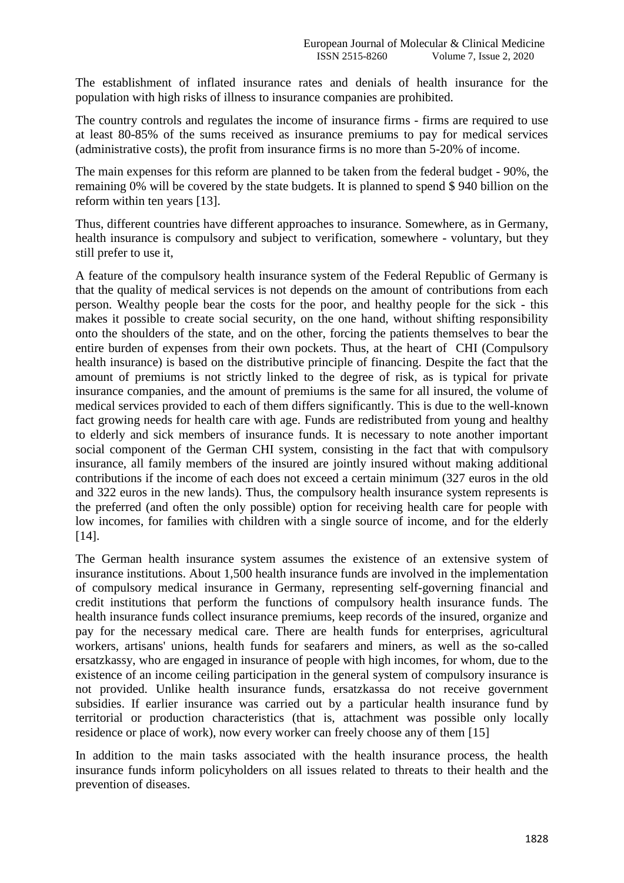The establishment of inflated insurance rates and denials of health insurance for the population with high risks of illness to insurance companies are prohibited.

The country controls and regulates the income of insurance firms - firms are required to use at least 80-85% of the sums received as insurance premiums to pay for medical services (administrative costs), the profit from insurance firms is no more than 5-20% of income.

The main expenses for this reform are planned to be taken from the federal budget - 90%, the remaining 0% will be covered by the state budgets. It is planned to spend \$ 940 billion on the reform within ten years [13].

Thus, different countries have different approaches to insurance. Somewhere, as in Germany, health insurance is compulsory and subject to verification, somewhere - voluntary, but they still prefer to use it,

A feature of the compulsory health insurance system of the Federal Republic of Germany is that the quality of medical services is not depends on the amount of contributions from each person. Wealthy people bear the costs for the poor, and healthy people for the sick - this makes it possible to create social security, on the one hand, without shifting responsibility onto the shoulders of the state, and on the other, forcing the patients themselves to bear the entire burden of expenses from their own pockets. Thus, at the heart of CHI (Compulsory health insurance) is based on the distributive principle of financing. Despite the fact that the amount of premiums is not strictly linked to the degree of risk, as is typical for private insurance companies, and the amount of premiums is the same for all insured, the volume of medical services provided to each of them differs significantly. This is due to the well-known fact growing needs for health care with age. Funds are redistributed from young and healthy to elderly and sick members of insurance funds. It is necessary to note another important social component of the German CHI system, consisting in the fact that with compulsory insurance, all family members of the insured are jointly insured without making additional contributions if the income of each does not exceed a certain minimum (327 euros in the old and 322 euros in the new lands). Thus, the compulsory health insurance system represents is the preferred (and often the only possible) option for receiving health care for people with low incomes, for families with children with a single source of income, and for the elderly [14].

The German health insurance system assumes the existence of an extensive system of insurance institutions. About 1,500 health insurance funds are involved in the implementation of compulsory medical insurance in Germany, representing self-governing financial and credit institutions that perform the functions of compulsory health insurance funds. The health insurance funds collect insurance premiums, keep records of the insured, organize and pay for the necessary medical care. There are health funds for enterprises, agricultural workers, artisans' unions, health funds for seafarers and miners, as well as the so-called ersatzkassy, who are engaged in insurance of people with high incomes, for whom, due to the existence of an income ceiling participation in the general system of compulsory insurance is not provided. Unlike health insurance funds, ersatzkassa do not receive government subsidies. If earlier insurance was carried out by a particular health insurance fund by territorial or production characteristics (that is, attachment was possible only locally residence or place of work), now every worker can freely choose any of them [15]

In addition to the main tasks associated with the health insurance process, the health insurance funds inform policyholders on all issues related to threats to their health and the prevention of diseases.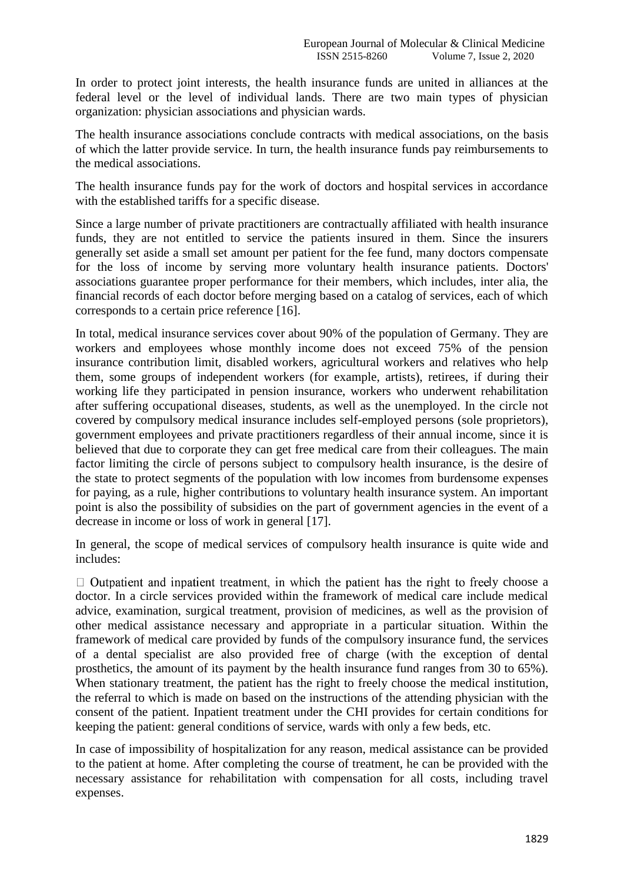In order to protect joint interests, the health insurance funds are united in alliances at the federal level or the level of individual lands. There are two main types of physician organization: physician associations and physician wards.

The health insurance associations conclude contracts with medical associations, on the basis of which the latter provide service. In turn, the health insurance funds pay reimbursements to the medical associations.

The health insurance funds pay for the work of doctors and hospital services in accordance with the established tariffs for a specific disease.

Since a large number of private practitioners are contractually affiliated with health insurance funds, they are not entitled to service the patients insured in them. Since the insurers generally set aside a small set amount per patient for the fee fund, many doctors compensate for the loss of income by serving more voluntary health insurance patients. Doctors' associations guarantee proper performance for their members, which includes, inter alia, the financial records of each doctor before merging based on a catalog of services, each of which corresponds to a certain price reference [16].

In total, medical insurance services cover about 90% of the population of Germany. They are workers and employees whose monthly income does not exceed 75% of the pension insurance contribution limit, disabled workers, agricultural workers and relatives who help them, some groups of independent workers (for example, artists), retirees, if during their working life they participated in pension insurance, workers who underwent rehabilitation after suffering occupational diseases, students, as well as the unemployed. In the circle not covered by compulsory medical insurance includes self-employed persons (sole proprietors), government employees and private practitioners regardless of their annual income, since it is believed that due to corporate they can get free medical care from their colleagues. The main factor limiting the circle of persons subject to compulsory health insurance, is the desire of the state to protect segments of the population with low incomes from burdensome expenses for paying, as a rule, higher contributions to voluntary health insurance system. An important point is also the possibility of subsidies on the part of government agencies in the event of a decrease in income or loss of work in general [17].

In general, the scope of medical services of compulsory health insurance is quite wide and includes:

 $\Box$  Outpatient and inpatient treatment, in which the patient has the right to freely choose a doctor. In a circle services provided within the framework of medical care include medical advice, examination, surgical treatment, provision of medicines, as well as the provision of other medical assistance necessary and appropriate in a particular situation. Within the framework of medical care provided by funds of the compulsory insurance fund, the services of a dental specialist are also provided free of charge (with the exception of dental prosthetics, the amount of its payment by the health insurance fund ranges from 30 to 65%). When stationary treatment, the patient has the right to freely choose the medical institution, the referral to which is made on based on the instructions of the attending physician with the consent of the patient. Inpatient treatment under the CHI provides for certain conditions for keeping the patient: general conditions of service, wards with only a few beds, etc.

In case of impossibility of hospitalization for any reason, medical assistance can be provided to the patient at home. After completing the course of treatment, he can be provided with the necessary assistance for rehabilitation with compensation for all costs, including travel expenses.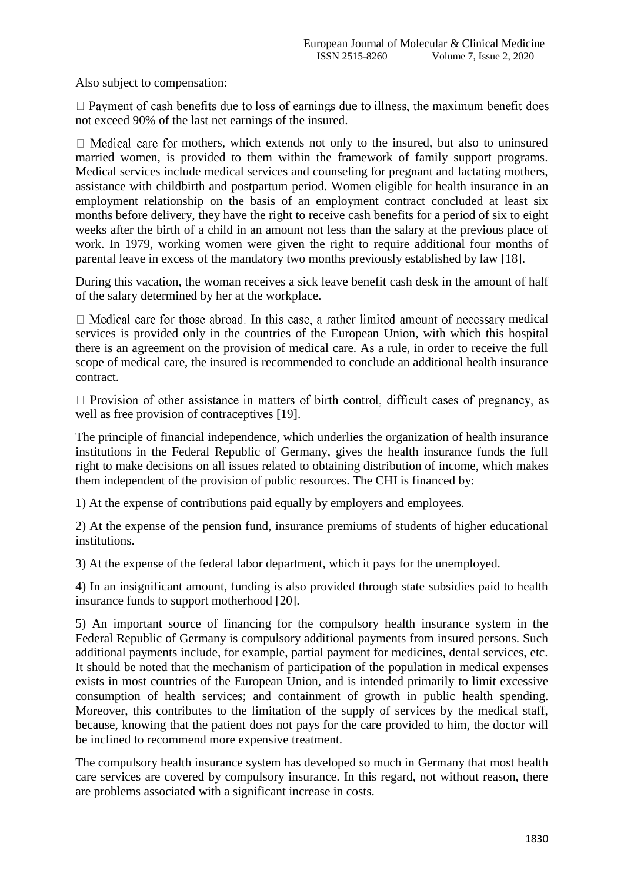Also subject to compensation:

 $\Box$  Payment of cash benefits due to loss of earnings due to illness, the maximum benefit does not exceed 90% of the last net earnings of the insured.

 $\Box$  Medical care for mothers, which extends not only to the insured, but also to uninsured married women, is provided to them within the framework of family support programs. Medical services include medical services and counseling for pregnant and lactating mothers, assistance with childbirth and postpartum period. Women eligible for health insurance in an employment relationship on the basis of an employment contract concluded at least six months before delivery, they have the right to receive cash benefits for a period of six to eight weeks after the birth of a child in an amount not less than the salary at the previous place of work. In 1979, working women were given the right to require additional four months of parental leave in excess of the mandatory two months previously established by law [18].

During this vacation, the woman receives a sick leave benefit cash desk in the amount of half of the salary determined by her at the workplace.

 $\Box$  Medical care for those abroad. In this case, a rather limited amount of necessary medical services is provided only in the countries of the European Union, with which this hospital there is an agreement on the provision of medical care. As a rule, in order to receive the full scope of medical care, the insured is recommended to conclude an additional health insurance contract.

 $\Box$  Provision of other assistance in matters of birth control, difficult cases of pregnancy, as well as free provision of contraceptives [19].

The principle of financial independence, which underlies the organization of health insurance institutions in the Federal Republic of Germany, gives the health insurance funds the full right to make decisions on all issues related to obtaining distribution of income, which makes them independent of the provision of public resources. The CHI is financed by:

1) At the expense of contributions paid equally by employers and employees.

2) At the expense of the pension fund, insurance premiums of students of higher educational institutions.

3) At the expense of the federal labor department, which it pays for the unemployed.

4) In an insignificant amount, funding is also provided through state subsidies paid to health insurance funds to support motherhood [20].

5) An important source of financing for the compulsory health insurance system in the Federal Republic of Germany is compulsory additional payments from insured persons. Such additional payments include, for example, partial payment for medicines, dental services, etc. It should be noted that the mechanism of participation of the population in medical expenses exists in most countries of the European Union, and is intended primarily to limit excessive consumption of health services; and containment of growth in public health spending. Moreover, this contributes to the limitation of the supply of services by the medical staff, because, knowing that the patient does not pays for the care provided to him, the doctor will be inclined to recommend more expensive treatment.

The compulsory health insurance system has developed so much in Germany that most health care services are covered by compulsory insurance. In this regard, not without reason, there are problems associated with a significant increase in costs.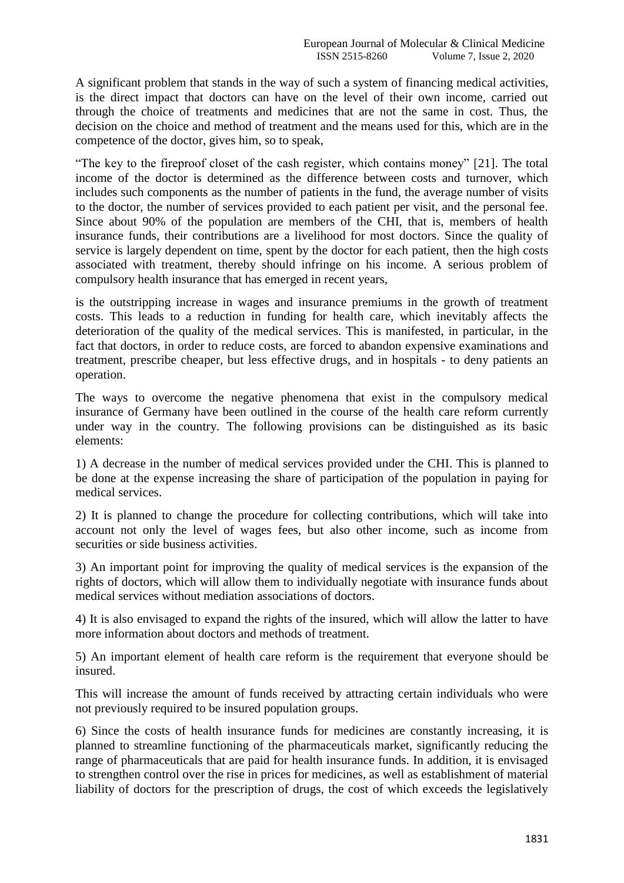A significant problem that stands in the way of such a system of financing medical activities, is the direct impact that doctors can have on the level of their own income, carried out through the choice of treatments and medicines that are not the same in cost. Thus, the decision on the choice and method of treatment and the means used for this, which are in the competence of the doctor, gives him, so to speak,

"The key to the fireproof closet of the cash register, which contains money" [21]. The total income of the doctor is determined as the difference between costs and turnover, which includes such components as the number of patients in the fund, the average number of visits to the doctor, the number of services provided to each patient per visit, and the personal fee. Since about 90% of the population are members of the CHI, that is, members of health insurance funds, their contributions are a livelihood for most doctors. Since the quality of service is largely dependent on time, spent by the doctor for each patient, then the high costs associated with treatment, thereby should infringe on his income. A serious problem of compulsory health insurance that has emerged in recent years,

is the outstripping increase in wages and insurance premiums in the growth of treatment costs. This leads to a reduction in funding for health care, which inevitably affects the deterioration of the quality of the medical services. This is manifested, in particular, in the fact that doctors, in order to reduce costs, are forced to abandon expensive examinations and treatment, prescribe cheaper, but less effective drugs, and in hospitals - to deny patients an operation.

The ways to overcome the negative phenomena that exist in the compulsory medical insurance of Germany have been outlined in the course of the health care reform currently under way in the country. The following provisions can be distinguished as its basic elements:

1) A decrease in the number of medical services provided under the CHI. This is planned to be done at the expense increasing the share of participation of the population in paying for medical services.

2) It is planned to change the procedure for collecting contributions, which will take into account not only the level of wages fees, but also other income, such as income from securities or side business activities.

3) An important point for improving the quality of medical services is the expansion of the rights of doctors, which will allow them to individually negotiate with insurance funds about medical services without mediation associations of doctors.

4) It is also envisaged to expand the rights of the insured, which will allow the latter to have more information about doctors and methods of treatment.

5) An important element of health care reform is the requirement that everyone should be insured.

This will increase the amount of funds received by attracting certain individuals who were not previously required to be insured population groups.

6) Since the costs of health insurance funds for medicines are constantly increasing, it is planned to streamline functioning of the pharmaceuticals market, significantly reducing the range of pharmaceuticals that are paid for health insurance funds. In addition, it is envisaged to strengthen control over the rise in prices for medicines, as well as establishment of material liability of doctors for the prescription of drugs, the cost of which exceeds the legislatively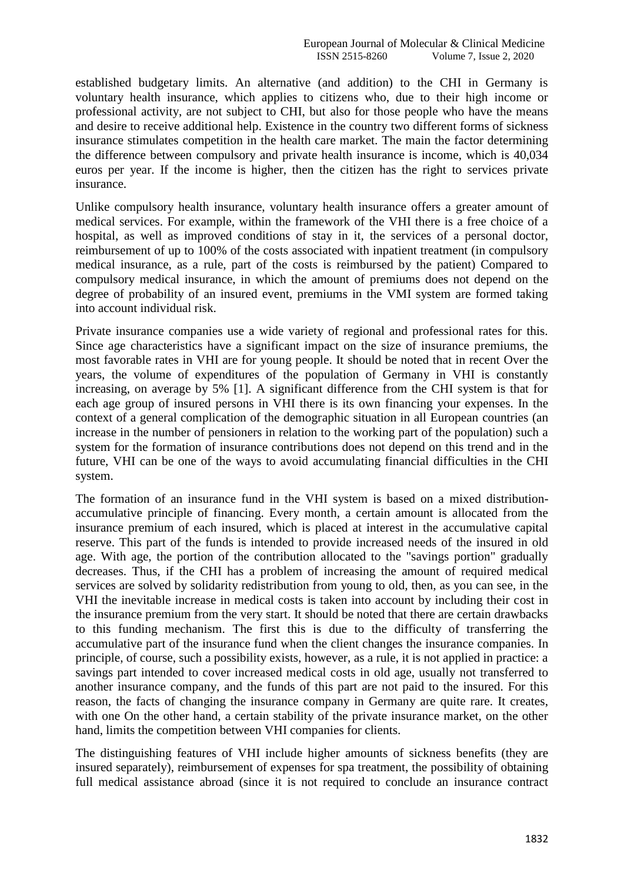established budgetary limits. An alternative (and addition) to the CHI in Germany is voluntary health insurance, which applies to citizens who, due to their high income or professional activity, are not subject to CHI, but also for those people who have the means and desire to receive additional help. Existence in the country two different forms of sickness insurance stimulates competition in the health care market. The main the factor determining the difference between compulsory and private health insurance is income, which is 40,034 euros per year. If the income is higher, then the citizen has the right to services private insurance.

Unlike compulsory health insurance, voluntary health insurance offers a greater amount of medical services. For example, within the framework of the VHI there is a free choice of a hospital, as well as improved conditions of stay in it, the services of a personal doctor, reimbursement of up to 100% of the costs associated with inpatient treatment (in compulsory medical insurance, as a rule, part of the costs is reimbursed by the patient) Compared to compulsory medical insurance, in which the amount of premiums does not depend on the degree of probability of an insured event, premiums in the VMI system are formed taking into account individual risk.

Private insurance companies use a wide variety of regional and professional rates for this. Since age characteristics have a significant impact on the size of insurance premiums, the most favorable rates in VHI are for young people. It should be noted that in recent Over the years, the volume of expenditures of the population of Germany in VHI is constantly increasing, on average by 5% [1]. A significant difference from the CHI system is that for each age group of insured persons in VHI there is its own financing your expenses. In the context of a general complication of the demographic situation in all European countries (an increase in the number of pensioners in relation to the working part of the population) such a system for the formation of insurance contributions does not depend on this trend and in the future, VHI can be one of the ways to avoid accumulating financial difficulties in the CHI system.

The formation of an insurance fund in the VHI system is based on a mixed distributionaccumulative principle of financing. Every month, a certain amount is allocated from the insurance premium of each insured, which is placed at interest in the accumulative capital reserve. This part of the funds is intended to provide increased needs of the insured in old age. With age, the portion of the contribution allocated to the "savings portion" gradually decreases. Thus, if the CHI has a problem of increasing the amount of required medical services are solved by solidarity redistribution from young to old, then, as you can see, in the VHI the inevitable increase in medical costs is taken into account by including their cost in the insurance premium from the very start. It should be noted that there are certain drawbacks to this funding mechanism. The first this is due to the difficulty of transferring the accumulative part of the insurance fund when the client changes the insurance companies. In principle, of course, such a possibility exists, however, as a rule, it is not applied in practice: a savings part intended to cover increased medical costs in old age, usually not transferred to another insurance company, and the funds of this part are not paid to the insured. For this reason, the facts of changing the insurance company in Germany are quite rare. It creates, with one On the other hand, a certain stability of the private insurance market, on the other hand, limits the competition between VHI companies for clients.

The distinguishing features of VHI include higher amounts of sickness benefits (they are insured separately), reimbursement of expenses for spa treatment, the possibility of obtaining full medical assistance abroad (since it is not required to conclude an insurance contract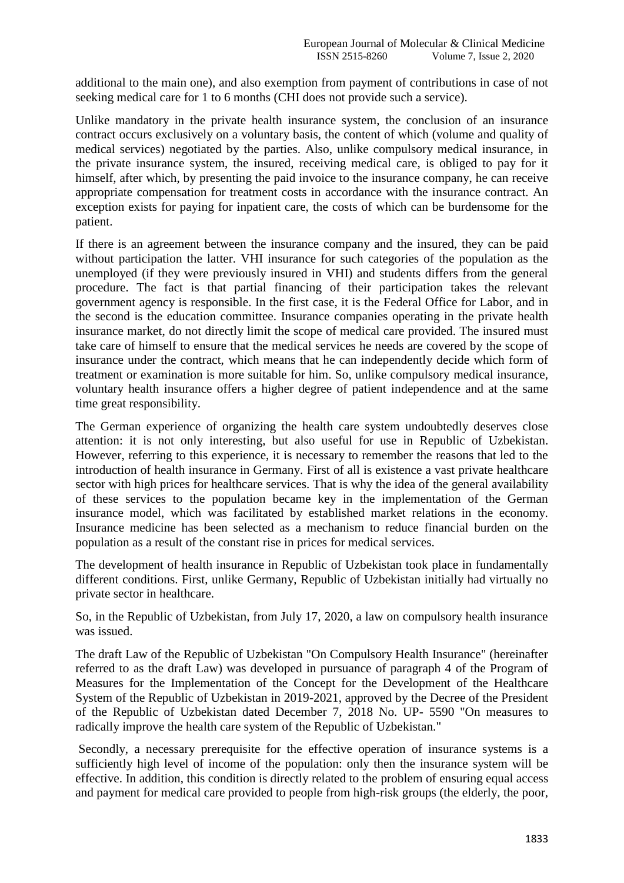additional to the main one), and also exemption from payment of contributions in case of not seeking medical care for 1 to 6 months (CHI does not provide such a service).

Unlike mandatory in the private health insurance system, the conclusion of an insurance contract occurs exclusively on a voluntary basis, the content of which (volume and quality of medical services) negotiated by the parties. Also, unlike compulsory medical insurance, in the private insurance system, the insured, receiving medical care, is obliged to pay for it himself, after which, by presenting the paid invoice to the insurance company, he can receive appropriate compensation for treatment costs in accordance with the insurance contract. An exception exists for paying for inpatient care, the costs of which can be burdensome for the patient.

If there is an agreement between the insurance company and the insured, they can be paid without participation the latter. VHI insurance for such categories of the population as the unemployed (if they were previously insured in VHI) and students differs from the general procedure. The fact is that partial financing of their participation takes the relevant government agency is responsible. In the first case, it is the Federal Office for Labor, and in the second is the education committee. Insurance companies operating in the private health insurance market, do not directly limit the scope of medical care provided. The insured must take care of himself to ensure that the medical services he needs are covered by the scope of insurance under the contract, which means that he can independently decide which form of treatment or examination is more suitable for him. So, unlike compulsory medical insurance, voluntary health insurance offers a higher degree of patient independence and at the same time great responsibility.

The German experience of organizing the health care system undoubtedly deserves close attention: it is not only interesting, but also useful for use in Republic of Uzbekistan. However, referring to this experience, it is necessary to remember the reasons that led to the introduction of health insurance in Germany. First of all is existence a vast private healthcare sector with high prices for healthcare services. That is why the idea of the general availability of these services to the population became key in the implementation of the German insurance model, which was facilitated by established market relations in the economy. Insurance medicine has been selected as a mechanism to reduce financial burden on the population as a result of the constant rise in prices for medical services.

The development of health insurance in Republic of Uzbekistan took place in fundamentally different conditions. First, unlike Germany, Republic of Uzbekistan initially had virtually no private sector in healthcare.

So, in the Republic of Uzbekistan, from July 17, 2020, a law on compulsory health insurance was issued.

The draft Law of the Republic of Uzbekistan "On Compulsory Health Insurance" (hereinafter referred to as the draft Law) was developed in pursuance of paragraph 4 of the Program of Measures for the Implementation of the Concept for the Development of the Healthcare System of the Republic of Uzbekistan in 2019-2021, approved by the Decree of the President of the Republic of Uzbekistan dated December 7, 2018 No. UP- 5590 "On measures to radically improve the health care system of the Republic of Uzbekistan."

Secondly, a necessary prerequisite for the effective operation of insurance systems is a sufficiently high level of income of the population: only then the insurance system will be effective. In addition, this condition is directly related to the problem of ensuring equal access and payment for medical care provided to people from high-risk groups (the elderly, the poor,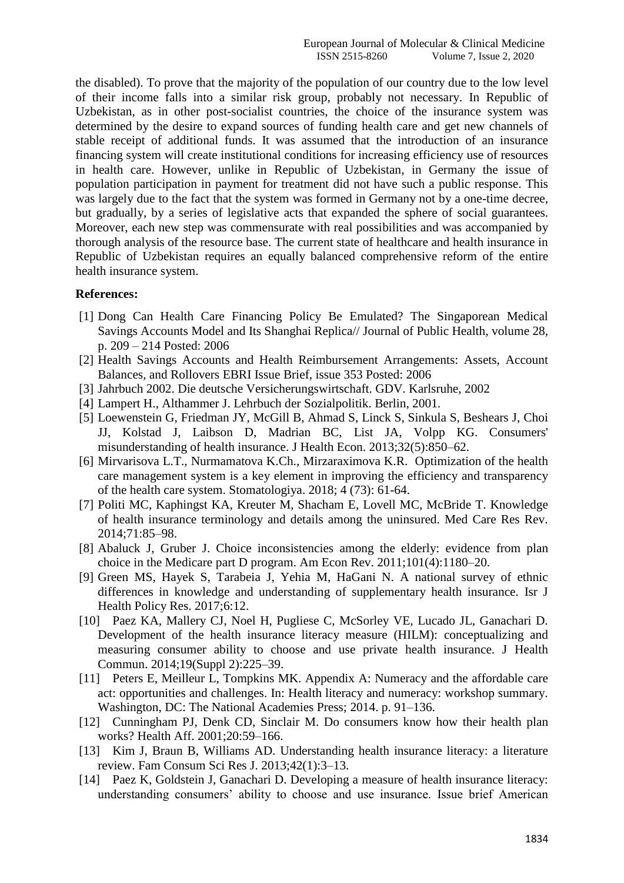the disabled). To prove that the majority of the population of our country due to the low level of their income falls into a similar risk group, probably not necessary. In Republic of Uzbekistan, as in other post-socialist countries, the choice of the insurance system was determined by the desire to expand sources of funding health care and get new channels of stable receipt of additional funds. It was assumed that the introduction of an insurance financing system will create institutional conditions for increasing efficiency use of resources in health care. However, unlike in Republic of Uzbekistan, in Germany the issue of population participation in payment for treatment did not have such a public response. This was largely due to the fact that the system was formed in Germany not by a one-time decree, but gradually, by a series of legislative acts that expanded the sphere of social guarantees. Moreover, each new step was commensurate with real possibilities and was accompanied by thorough analysis of the resource base. The current state of healthcare and health insurance in Republic of Uzbekistan requires an equally balanced comprehensive reform of the entire health insurance system.

## **References:**

- [1] Dong Can Health Care Financing Policy Be Emulated? The Singaporean Medical Savings Accounts Model and Its Shanghai Replica// Journal of Public Health, volume 28, p. 209 – 214 Posted: 2006
- [2] Health Savings Accounts and Health Reimbursement Arrangements: Assets, Account Balances, and Rollovers EBRI Issue Brief, issue 353 Posted: 2006
- [3] Jahrbuch 2002. Die deutsche Versicherungswirtschaft. GDV. Karlsruhe, 2002
- [4] Lampert H., Althammer J. Lehrbuch der Sozialpolitik. Berlin, 2001.
- [5] Loewenstein G, Friedman JY, McGill B, Ahmad S, Linck S, Sinkula S, Beshears J, Choi JJ, Kolstad J, Laibson D, Madrian BC, List JA, Volpp KG. Consumers' misunderstanding of health insurance. J Health Econ. 2013;32(5):850–62.
- [6] Mirvarisova L.T., Nurmamatova K.Ch., Mirzaraximova K.R. Optimization of the health care management system is a key element in improving the efficiency and transparency of the health care system. Stomatologiya. 2018; 4 (73): 61-64.
- [7] Politi MC, Kaphingst KA, Kreuter M, Shacham E, Lovell MC, McBride T. Knowledge of health insurance terminology and details among the uninsured. Med Care Res Rev. 2014;71:85–98.
- [8] Abaluck J, Gruber J. Choice inconsistencies among the elderly: evidence from plan choice in the Medicare part D program. Am Econ Rev. 2011;101(4):1180–20.
- [9] Green MS, Hayek S, Tarabeia J, Yehia M, HaGani N. A national survey of ethnic differences in knowledge and understanding of supplementary health insurance. Isr J Health Policy Res. 2017;6:12.
- [10] Paez KA, Mallery CJ, Noel H, Pugliese C, McSorley VE, Lucado JL, Ganachari D. Development of the health insurance literacy measure (HILM): conceptualizing and measuring consumer ability to choose and use private health insurance. J Health Commun. 2014;19(Suppl 2):225–39.
- [11] Peters E, Meilleur L, Tompkins MK. Appendix A: Numeracy and the affordable care act: opportunities and challenges. In: Health literacy and numeracy: workshop summary. Washington, DC: The National Academies Press; 2014. p. 91–136.
- [12] Cunningham PJ, Denk CD, Sinclair M. Do consumers know how their health plan works? Health Aff. 2001;20:59–166.
- [13] Kim J, Braun B, Williams AD. Understanding health insurance literacy: a literature review. Fam Consum Sci Res J. 2013;42(1):3–13.
- [14] Paez K, Goldstein J, Ganachari D. Developing a measure of health insurance literacy: understanding consumers' ability to choose and use insurance. Issue brief American